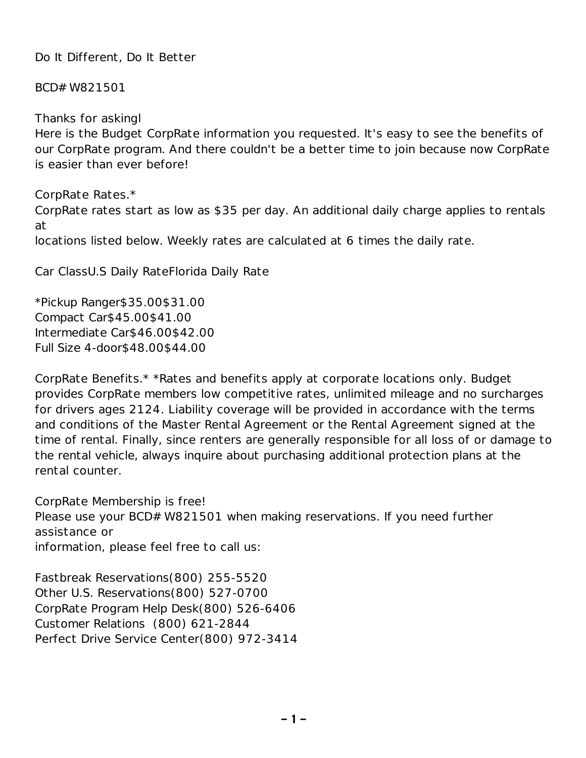Do It Different, Do It Better

BCD# W821501

Thanks for askingl Here is the Budget CorpRate information you requested. It's easy to see the benefits of our CorpRate program. And there couldn't be a better time to join because now CorpRate is easier than ever before!

CorpRate Rates.\* CorpRate rates start as low as \$35 per day. An additional daily charge applies to rentals at locations listed below. Weekly rates are calculated at 6 times the daily rate.

Car ClassU.S Daily RateFlorida Daily Rate

\*Pickup Ranger\$35.00\$31.00 Compact Car\$45.00\$41.00 Intermediate Car\$46.00\$42.00 Full Size 4-door\$48.00\$44.00

CorpRate Benefits.\* \*Rates and benefits apply at corporate locations only. Budget provides CorpRate members low competitive rates, unlimited mileage and no surcharges for drivers ages 2124. Liability coverage will be provided in accordance with the terms and conditions of the Master Rental Agreement or the Rental Agreement signed at the time of rental. Finally, since renters are generally responsible for all loss of or damage to the rental vehicle, always inquire about purchasing additional protection plans at the rental counter.

CorpRate Membership is free! Please use your BCD# W821501 when making reservations. If you need further assistance or information, please feel free to call us:

Fastbreak Reservations(800) 255-5520 Other U.S. Reservations(800) 527-0700 CorpRate Program Help Desk(800) 526-6406 Customer Relations (800) 621-2844 Perfect Drive Service Center(800) 972-3414